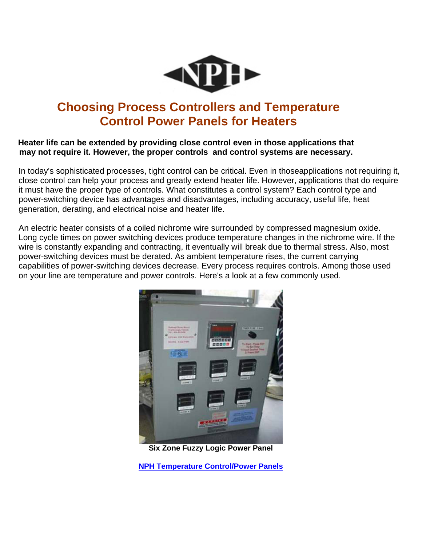

# **Choosing Process Controllers and Temperature Control Power Panels for Heaters**

#### **Heater life can be extended by providing close control even in those applications that may not require it. However, the proper controls and control systems are necessary.**

In today's sophisticated processes, tight control can be critical. Even in thoseapplications not requiring it, close control can help your process and greatly extend heater life. However, applications that do require it must have the proper type of controls. What constitutes a control system? Each control type and power-switching device has advantages and disadvantages, including accuracy, useful life, heat generation, derating, and electrical noise and heater life.

An electric heater consists of a coiled nichrome wire surrounded by compressed magnesium oxide. Long cycle times on power switching devices produce temperature changes in the nichrome wire. If the wire is constantly expanding and contracting, it eventually will break due to thermal stress. Also, most power-switching devices must be derated. As ambient temperature rises, the current carrying capabilities of power-switching devices decrease. Every process requires controls. Among those used on your line are temperature and power controls. Here's a look at a few commonly used.



**Six Zone Fuzzy Logic Power Panel** 

**[NPH Temperature Control/Power Panels](https://www.nph-processheaters.com/temperature-control-power-panels/)**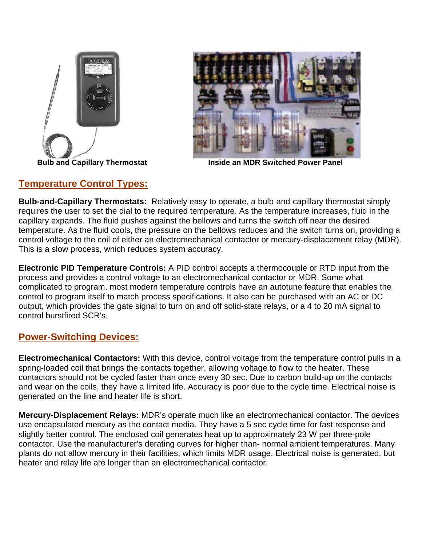



**Bulb and Capillary Thermostat Communisty Communisty Communisty Provide an MDR Switched Power Panel** 

## **Temperature Control Types:**

**Bulb-and-Capillary Thermostats:** Relatively easy to operate, a bulb-and-capillary thermostat simply requires the user to set the dial to the required temperature. As the temperature increases, fluid in the capillary expands. The fluid pushes against the bellows and turns the switch off near the desired temperature. As the fluid cools, the pressure on the bellows reduces and the switch turns on, providing a control voltage to the coil of either an electromechanical contactor or mercury-displacement relay (MDR). This is a slow process, which reduces system accuracy.

**Electronic PID Temperature Controls:** A PID control accepts a thermocouple or RTD input from the process and provides a control voltage to an electromechanical contactor or MDR. Some what complicated to program, most modern temperature controls have an autotune feature that enables the control to program itself to match process specifications. It also can be purchased with an AC or DC output, which provides the gate signal to turn on and off solid-state relays, or a 4 to 20 mA signal to control burstfired SCR's.

## **Power-Switching Devices:**

**Electromechanical Contactors:** With this device, control voltage from the temperature control pulls in a spring-loaded coil that brings the contacts together, allowing voltage to flow to the heater. These contactors should not be cycled faster than once every 30 sec. Due to carbon build-up on the contacts and wear on the coils, they have a limited life. Accuracy is poor due to the cycle time. Electrical noise is generated on the line and heater life is short.

**Mercury-Displacement Relays:** MDR's operate much like an electromechanical contactor. The devices use encapsulated mercury as the contact media. They have a 5 sec cycle time for fast response and slightly better control. The enclosed coil generates heat up to approximately 23 W per three-pole contactor. Use the manufacturer's derating curves for higher than- normal ambient temperatures. Many plants do not allow mercury in their facilities, which limits MDR usage. Electrical noise is generated, but heater and relay life are longer than an electromechanical contactor.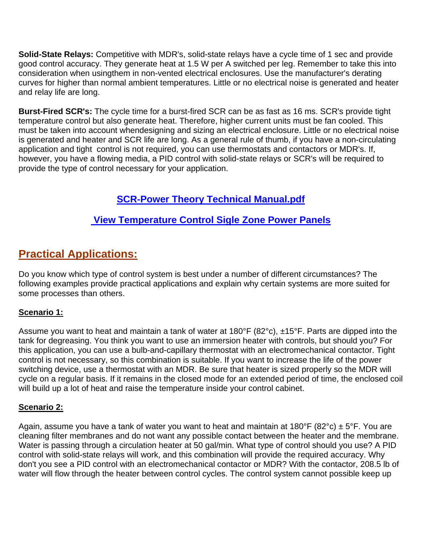**Solid-State Relays:** Competitive with MDR's, solid-state relays have a cycle time of 1 sec and provide good control accuracy. They generate heat at 1.5 W per A switched per leg. Remember to take this into consideration when usingthem in non-vented electrical enclosures. Use the manufacturer's derating curves for higher than normal ambient temperatures. Little or no electrical noise is generated and heater and relay life are long.

**Burst-Fired SCR's:** The cycle time for a burst-fired SCR can be as fast as 16 ms. SCR's provide tight temperature control but also generate heat. Therefore, higher current units must be fan cooled. This must be taken into account whendesigning and sizing an electrical enclosure. Little or no electrical noise is generated and heater and SCR life are long. As a general rule of thumb, if you have a non-circulating application and tight control is not required, you can use thermostats and contactors or MDR's. If, however, you have a flowing media, a PID control with solid-state relays or SCR's will be required to provide the type of control necessary for your application.

# **SCR-Power Theory Technical Manual.pdf**

## **[View Temperature Control Sigle Zone Power Panels](https://www.nph-processheaters.com/_assets/uploads/pdfs/Temperature%20Control%20Power%20Panels/Single%20Zone%20Temp.%20Control%20Power%20Panel%20with%20Process%20and%20High%20Limit%20Controller.pdf)**

# **Practical Applications:**

Do you know which type of control system is best under a number of different circumstances? The following examples provide practical applications and explain why certain systems are more suited for some processes than others.

### **Scenario 1:**

Assume you want to heat and maintain a tank of water at 180°F (82°c), ±15°F. Parts are dipped into the tank for degreasing. You think you want to use an immersion heater with controls, but should you? For this application, you can use a bulb-and-capillary thermostat with an electromechanical contactor. Tight control is not necessary, so this combination is suitable. If you want to increase the life of the power switching device, use a thermostat with an MDR. Be sure that heater is sized properly so the MDR will cycle on a regular basis. If it remains in the closed mode for an extended period of time, the enclosed coil will build up a lot of heat and raise the temperature inside your control cabinet.

### **Scenario 2:**

Again, assume you have a tank of water you want to heat and maintain at 180°F (82°c)  $\pm$  5°F. You are cleaning filter membranes and do not want any possible contact between the heater and the membrane. Water is passing through a circulation heater at 50 gal/min. What type of control should you use? A PID control with solid-state relays will work, and this combination will provide the required accuracy. Why don't you see a PID control with an electromechanical contactor or MDR? With the contactor, 208.5 lb of water will flow through the heater between control cycles. The control system cannot possible keep up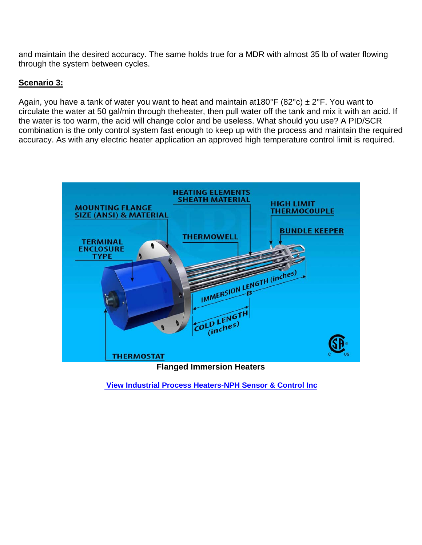and maintain the desired accuracy. The same holds true for a MDR with almost 35 lb of water flowing through the system between cycles.

#### **Scenario 3:**

Again, you have a tank of water you want to heat and maintain at 180°F (82°c)  $\pm$  2°F. You want to circulate the water at 50 gal/min through theheater, then pull water off the tank and mix it with an acid. If the water is too warm, the acid will change color and be useless. What should you use? A PID/SCR combination is the only control system fast enough to keep up with the process and maintain the required accuracy. As with any electric heater application an approved high temperature control limit is required.



 **[View Industrial Process Heaters-NPH Sensor & Control Inc](https://www.nph-processheaters.com/industrial-process-electric-heaters-products/)**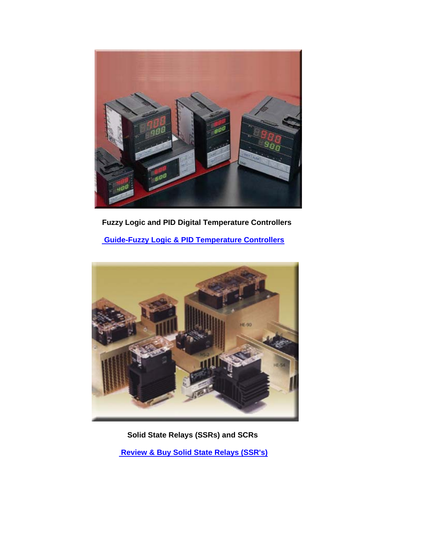

 **Fuzzy Logic and PID Digital Temperature Controllers** 

 **[Guide-Fuzzy Logic & PID Temperature Controllers](https://www.nph-processheaters.com/fuzzy-logic-pid-temperature-controllers/)**



 **Solid State Relays (SSRs) and SCRs** 

 **[Review & Buy Solid State Relays \(SSR's\)](https://www.nph-processheaters.com/solid-state-relays-ssrand39s/)**